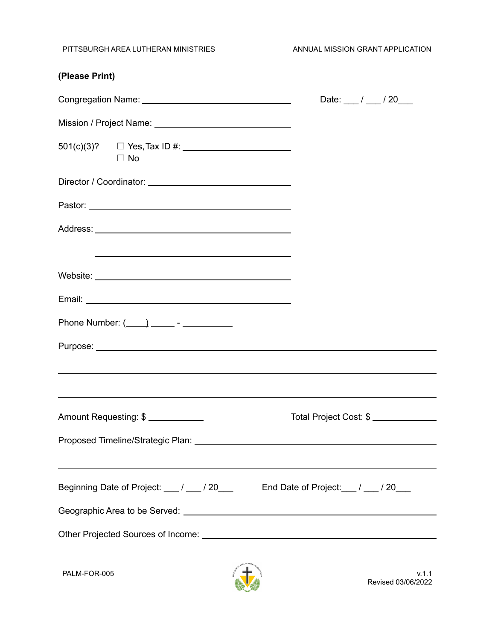PITTSBURGH AREA LUTHERAN MINISTRIES ANNUAL MISSION GRANT APPLICATION

| (Please Print)                                                                                                                                                                                                                |                                      |
|-------------------------------------------------------------------------------------------------------------------------------------------------------------------------------------------------------------------------------|--------------------------------------|
|                                                                                                                                                                                                                               | Date: $\frac{1}{2}$ / $\frac{20}{2}$ |
|                                                                                                                                                                                                                               |                                      |
| $501(c)(3)? \square Yes, Tax ID #: \_ \_ \_ \_$<br>$\Box$ No                                                                                                                                                                  |                                      |
|                                                                                                                                                                                                                               |                                      |
|                                                                                                                                                                                                                               |                                      |
| the control of the control of the control of the control of the control of the control of the control of the control of the control of the control of the control of the control of the control of the control of the control |                                      |
|                                                                                                                                                                                                                               |                                      |
|                                                                                                                                                                                                                               |                                      |
|                                                                                                                                                                                                                               |                                      |
|                                                                                                                                                                                                                               |                                      |
| ,我们也不会有什么。""我们的人,我们也不会有什么?""我们的人,我们也不会有什么?""我们的人,我们也不会有什么?""我们的人,我们也不会有什么?""我们的人                                                                                                                                              |                                      |
| Amount Requesting: \$                                                                                                                                                                                                         | Total Project Cost: \$               |
|                                                                                                                                                                                                                               |                                      |
| Beginning Date of Project: ___ / ___ / 20___ End Date of Project: __ / ___ / 20__                                                                                                                                             |                                      |
|                                                                                                                                                                                                                               |                                      |
|                                                                                                                                                                                                                               |                                      |
|                                                                                                                                                                                                                               |                                      |